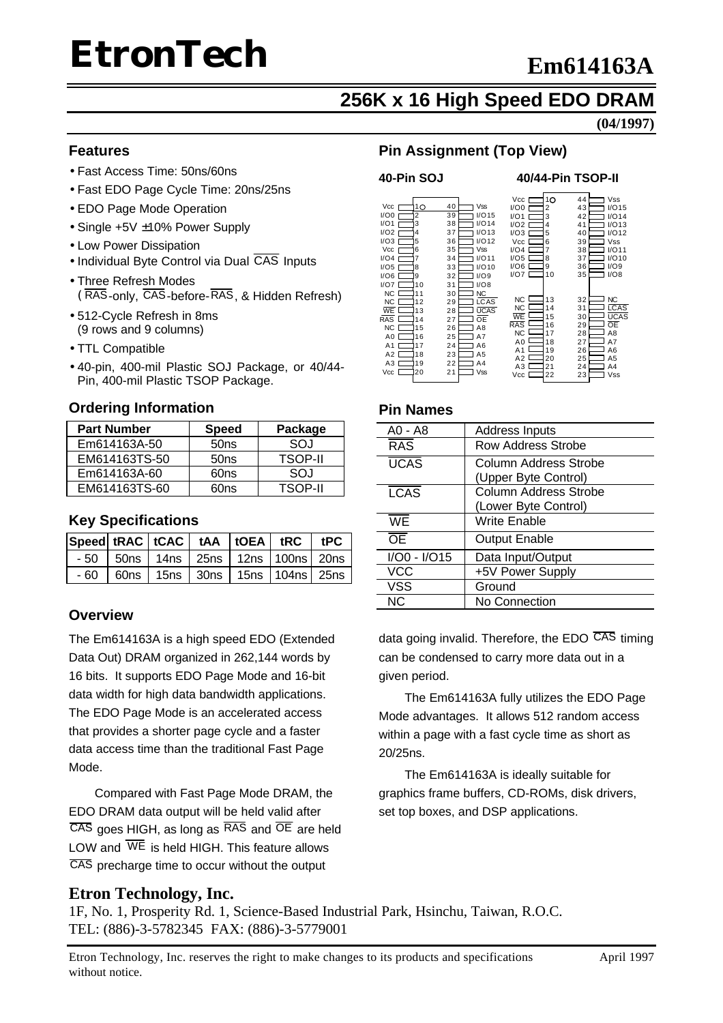### **256K x 16 High Speed EDO DRAM**

**(04/1997)**

#### **Features**

- Fast Access Time: 50ns/60ns
- Fast EDO Page Cycle Time: 20ns/25ns
- EDO Page Mode Operation
- Single +5V ±10% Power Supply
- Low Power Dissipation
- Individual Byte Control via Dual CAS Inputs
- Three Refresh Modes (RAS-only, CAS-before-RAS, & Hidden Refresh)
- 512-Cycle Refresh in 8ms (9 rows and 9 columns)
- TTL Compatible
- 40-pin, 400-mil Plastic SOJ Package, or 40/44- Pin, 400-mil Plastic TSOP Package.

#### **Ordering Information**

| <b>Part Number</b> | <b>Speed</b>     | Package        |
|--------------------|------------------|----------------|
| Em614163A-50       | 50 <sub>ns</sub> | SOJ            |
| EM614163TS-50      | 50 <sub>ns</sub> | <b>TSOP-II</b> |
| Em614163A-60       | 60ns             | SOJ            |
| EM614163TS-60      | 60ns             | <b>TSOP-II</b> |

#### **Key Specifications**

|  |                                                  | $ Speed $ tRAC $ $ tCAC $ $ tAA $ $ tOEA $ $ tRC $ $ tPC |  |  |
|--|--------------------------------------------------|----------------------------------------------------------|--|--|
|  | $-50$   50ns   14ns   25ns   12ns   100ns   20ns |                                                          |  |  |
|  | $-60$   60ns   15ns   30ns   15ns   104ns   25ns |                                                          |  |  |

#### **Overview**

The Em614163A is a high speed EDO (Extended Data Out) DRAM organized in 262,144 words by 16 bits. It supports EDO Page Mode and 16-bit data width for high data bandwidth applications. The EDO Page Mode is an accelerated access that provides a shorter page cycle and a faster data access time than the traditional Fast Page Mode.

Compared with Fast Page Mode DRAM, the EDO DRAM data output will be held valid after CAS goes HIGH, as long as RAS and OE are held LOW and  $\overline{\text{WE}}$  is held HIGH. This feature allows CAS precharge time to occur without the output

#### **Pin Assignment (Top View)**

#### **40-Pin SOJ 40/44-Pin TSOP-II**

| Vcc<br>I/O0<br>I/O1<br>I/O2<br>I/O3<br>Vcc<br>I/O4<br>I/O5<br>I/O6<br>I/O7                         | 10<br>2<br>3<br>4<br>5<br>6<br>8<br>9<br>10              | Vss<br>40<br>I/O15<br>39<br>I/O14<br>38<br>I/O13<br>37<br>I/O12<br>36<br>Vss<br>35<br>I/O11<br>34<br>I/O10<br>33<br>I/O9<br>32<br>I/O8<br>31   | Vcc [<br>I/O0<br>I/O1<br>$1/02$ I<br>$I/O3$ [<br>Vcc I<br>I/O4<br>I/O5<br>I/O6 I<br>1/07 [ | 10<br>2<br>3<br>4<br>5<br>6<br>7<br>8<br>9<br>10         | 44<br>43<br>42<br>41<br>40<br>39<br>38<br>37<br>36<br>35 | Vss<br>I/O15<br>I/O14<br>I/O13<br>I/O12<br>Vss<br>I/O11<br>I/O10<br>I/O9<br>I/O8 |
|----------------------------------------------------------------------------------------------------|----------------------------------------------------------|------------------------------------------------------------------------------------------------------------------------------------------------|--------------------------------------------------------------------------------------------|----------------------------------------------------------|----------------------------------------------------------|----------------------------------------------------------------------------------|
| <b>NC</b><br>NC<br><b>WE</b><br><b>RAS</b><br><b>NC</b><br>A0<br>A1<br>A2<br>A <sub>3</sub><br>Vcc | 11<br>12<br>13<br>14<br>15<br>16<br>17<br>18<br>19<br>20 | <b>NC</b><br>30<br><b>LCAS</b><br>29<br><b>UCAS</b><br>28<br>OЕ<br>27<br>A8<br>26<br>25<br>A7<br>24<br>A6<br>23<br>A5<br>22<br>A4<br>Vss<br>21 | NC.<br><b>NC</b><br>WE<br><b>RAS</b><br><b>NC</b><br>A0<br>A1<br>A2<br>AЗ<br>Vcc           | 13<br>14<br>15<br>16<br>17<br>18<br>19<br>20<br>21<br>22 | 32<br>31<br>30<br>29<br>28<br>27<br>26<br>25<br>24<br>23 | NC<br><b>LCAS</b><br><b>UCAS</b><br>ŌE<br>A8<br>A7<br>A6<br>A5<br>A4<br>Vss      |

#### **Pin Names**

| A0 - A8      | <b>Address Inputs</b>                                |
|--------------|------------------------------------------------------|
| <b>RAS</b>   | Row Address Strobe                                   |
| <b>UCAS</b>  | Column Address Strobe<br>(Upper Byte Control)        |
| <b>LCAS</b>  | <b>Column Address Strobe</b><br>(Lower Byte Control) |
| <b>WF</b>    | Write Enable                                         |
| ŌE           | <b>Output Enable</b>                                 |
| I/O0 - I/O15 | Data Input/Output                                    |
| VCC          | +5V Power Supply                                     |
| <b>VSS</b>   | Ground                                               |
| ΝC           | No Connection                                        |
|              |                                                      |

data going invalid. Therefore, the EDO  $\overline{CAS}$  timing can be condensed to carry more data out in a given period.

The Em614163A fully utilizes the EDO Page Mode advantages. It allows 512 random access within a page with a fast cycle time as short as 20/25ns.

The Em614163A is ideally suitable for graphics frame buffers, CD-ROMs, disk drivers, set top boxes, and DSP applications.

#### **Etron Technology, Inc.**

1F, No. 1, Prosperity Rd. 1, Science-Based Industrial Park, Hsinchu, Taiwan, R.O.C. TEL: (886)-3-5782345 FAX: (886)-3-5779001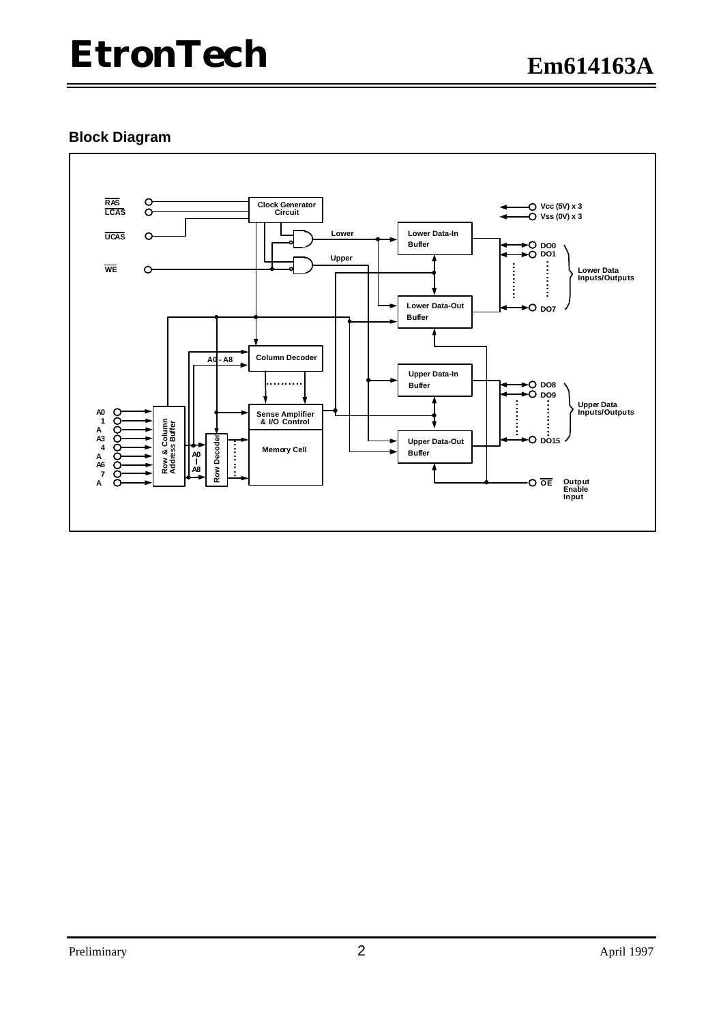#### **Block Diagram**

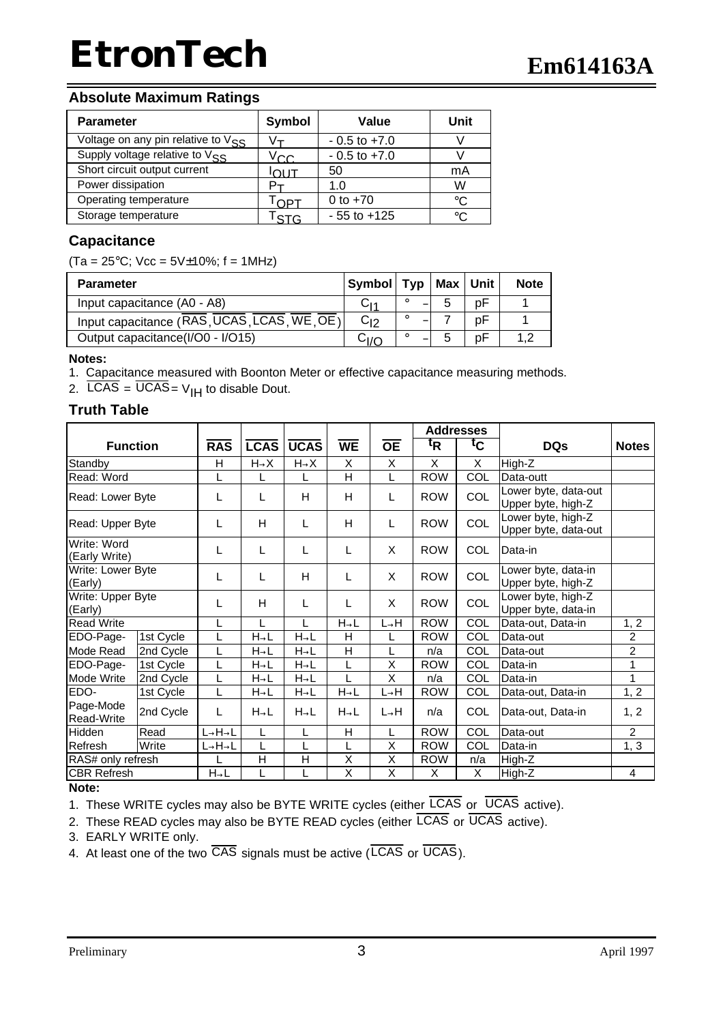#### **Absolute Maximum Ratings**

| <b>Parameter</b>                        | Symbol | Value            | Unit |
|-----------------------------------------|--------|------------------|------|
| Voltage on any pin relative to $V_{SS}$ |        | $-0.5$ to $+7.0$ |      |
| Supply voltage relative to $V_{SS}$     | √cc.   | $-0.5$ to $+7.0$ |      |
| Short circuit output current            | דו וח  | 50               | mA   |
| Power dissipation                       |        | 1.0              | W    |
| Operating temperature                   | וסר    | 0 to $+70$       | °C   |
| Storage temperature                     | STG    | $-55$ to $+125$  | °C   |

#### **Capacitance**

 $(Ta = 25^{\circ}C;$  Vcc =  $5V\pm10\%;$  f = 1MHz)

| <b>Parameter</b>                            | Symbol   Typ   Max   Unit |   |    |    | <b>Note</b> |
|---------------------------------------------|---------------------------|---|----|----|-------------|
| Input capacitance (A0 - A8)                 | C۱4                       |   | -5 | рF |             |
| Input capacitance (RAS, UCAS, LCAS, WE, OE) | $C_{12}$                  | Ð |    | рF |             |
| Output capacitance(I/O0 - I/O15)            | Cı∕∩                      |   |    | рF | 12          |

**Notes:**

1. Capacitance measured with Boonton Meter or effective capacitance measuring methods.

2.  $\overline{LCAS} = \overline{UCAS} = V_{IH}$  to disable Dout.

#### **Truth Table**

|                              |           |                                 |                   |                   |                   |                   |                | <b>Addresses</b> |                                            |                |
|------------------------------|-----------|---------------------------------|-------------------|-------------------|-------------------|-------------------|----------------|------------------|--------------------------------------------|----------------|
| <b>Function</b>              |           | <b>RAS</b>                      | <b>LCAS</b>       | <b>UCAS</b>       | <b>WE</b>         | $\overline{OE}$   | t <sub>R</sub> | tc               | <b>DQs</b>                                 | <b>Notes</b>   |
| Standby                      |           | H                               | $H\rightarrow X$  | $H\rightarrow X$  | X                 | X                 | X              | X                | High-Z                                     |                |
| Read: Word                   |           |                                 |                   | L                 | Η                 |                   | <b>ROW</b>     | COL              | Data-outt                                  |                |
| Read: Lower Byte             |           | L                               | L                 | Н                 | H                 | L                 | <b>ROW</b>     | COL              | Lower byte, data-out<br>Upper byte, high-Z |                |
| Read: Upper Byte             |           | L                               | Н                 | L                 | н                 | L                 | <b>ROW</b>     | COL              | Lower byte, high-Z<br>Upper byte, data-out |                |
| Write: Word<br>(Early Write) |           | L                               | L                 | L                 | L                 | X                 | <b>ROW</b>     | COL              | Data-in                                    |                |
| Write: Lower Byte<br>(Early) |           | L                               | L                 | Н                 | L                 | X                 | <b>ROW</b>     | COL              | Lower byte, data-in<br>Upper byte, high-Z  |                |
| Write: Upper Byte<br>(Early) |           | L                               | Н                 | L                 | L                 | X                 | <b>ROW</b>     | COL              | Lower byte, high-Z<br>Upper byte, data-in  |                |
| <b>Read Write</b>            |           |                                 |                   |                   | $H \rightarrow L$ | $L \rightarrow H$ | <b>ROW</b>     | $\overline{COL}$ | Data-out, Data-in                          | 1, 2           |
| EDO-Page-                    | 1st Cycle |                                 | $H \rightarrow L$ | $H \rightarrow L$ | н                 |                   | <b>ROW</b>     | COL              | Data-out                                   | $\overline{2}$ |
| Mode Read                    | 2nd Cycle |                                 | $H \rightarrow L$ | $H \rightarrow L$ | Η                 |                   | n/a            | COL              | Data-out                                   | $\overline{2}$ |
| EDO-Page-                    | 1st Cycle |                                 | $H \rightarrow L$ | $H \rightarrow L$ |                   | X                 | <b>ROW</b>     | COL              | Data-in                                    | 1              |
| Mode Write                   | 2nd Cycle |                                 | $H \rightarrow L$ | $H \rightarrow L$ |                   | X                 | n/a            | COL              | Data-in                                    | 1              |
| EDO-                         | 1st Cycle | L                               | $H \rightarrow L$ | $H \rightarrow L$ | $H \rightarrow L$ | $L \rightarrow H$ | <b>ROW</b>     | <b>COL</b>       | Data-out, Data-in                          | 1, 2           |
| Page-Mode<br>Read-Write      | 2nd Cycle | L                               | $H\rightarrow L$  | $H \rightarrow L$ | $H\rightarrow L$  | $L\rightarrow H$  | n/a            | COL              | Data-out, Data-in                          | 1, 2           |
| Hidden                       | Read      | $L \rightarrow H \rightarrow L$ |                   | L                 | H                 |                   | <b>ROW</b>     | COL              | Data-out                                   | $\overline{2}$ |
| Refresh                      | Write     | $\rightarrow$ H $\rightarrow$ L |                   |                   |                   | X                 | <b>ROW</b>     | COL              | Data-in                                    | 1, 3           |
| RAS# only refresh            |           |                                 | H                 | Η                 | Χ                 | X                 | <b>ROW</b>     | n/a              | High-Z                                     |                |
| <b>CBR Refresh</b>           |           | $H \rightarrow L$               |                   | L                 | X                 | X                 | X              | X.               | High-Z                                     | 4              |

#### **Note:**

1. These WRITE cycles may also be BYTE WRITE cycles (either LCAS or UCAS active).

2. These READ cycles may also be BYTE READ cycles (either  $\overline{LCAS}$  or  $\overline{UCAS}$  active).

3. EARLY WRITE only.

4. At least one of the two CAS signals must be active (LCAS or UCAS).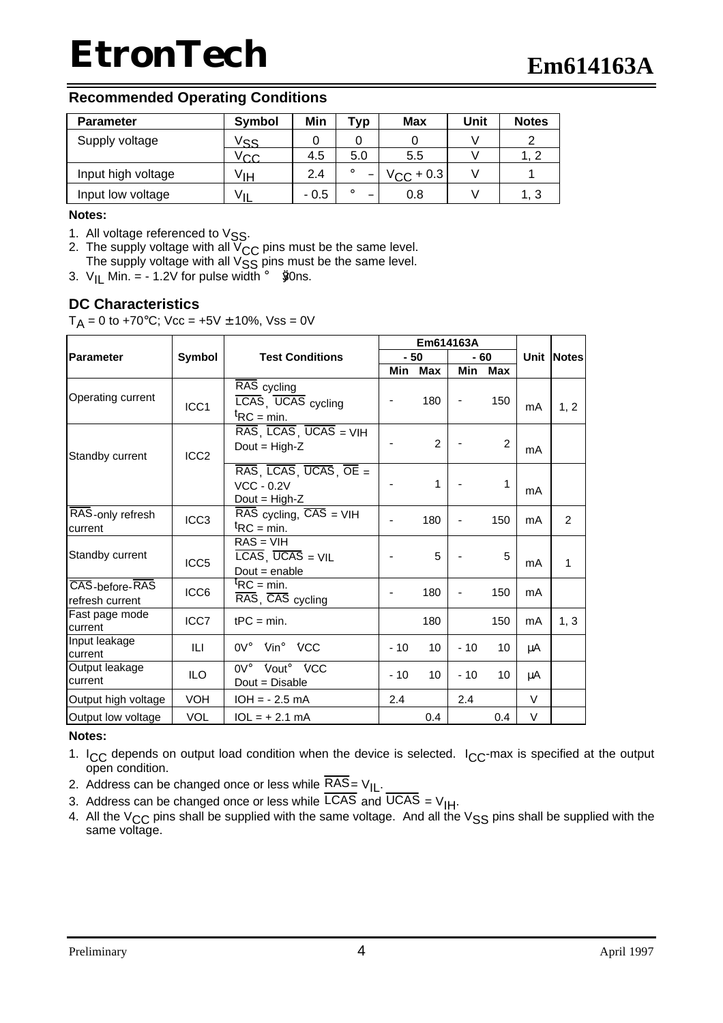#### **Recommended Operating Conditions**

| <b>Parameter</b>   | Symbol | Min    | Tvp | <b>Max</b>      | Unit | <b>Notes</b> |
|--------------------|--------|--------|-----|-----------------|------|--------------|
| Supply voltage     | vss    |        |     |                 |      |              |
|                    | $'$ CC | 4.5    | 5.0 | 5.5             |      |              |
| Input high voltage | ∨́ιн   | 2.4    |     | $V_{C,C}$ + 0.3 |      |              |
| Input low voltage  |        | $-0.5$ | Đ   | 0.8             |      | 1, 3         |

#### **Notes:**

- 1. All voltage referenced to  $VSS$ .
- 2. The supply voltage with all  $V_{CC}$  pins must be the same level. The supply voltage with all  $V_{SS}$  pins must be the same level.
- 3.  $V_{II}$  Min. = 1.2V for pulse width  $\mathbf{i}$  80 ms.

#### **DC Characteristics**

 $T_A = 0$  to +70°C; Vcc = +5V  $\pm$  10%, Vss = 0V

|                                   |                  |                                                                                                                 |       | Em614163A      |       |               |        |            |
|-----------------------------------|------------------|-----------------------------------------------------------------------------------------------------------------|-------|----------------|-------|---------------|--------|------------|
| Parameter                         | Symbol           | <b>Test Conditions</b>                                                                                          |       | $-50$          | - 60  |               |        | Unit Notes |
|                                   |                  |                                                                                                                 | Min   | <b>Max</b>     | Min   | <b>Max</b>    |        |            |
| Operating current                 | ICC1             | RAS cycling<br>LCAS, UCAS cycling<br>${}^{\text{t}}$ RC = min.                                                  |       | 180            | ÷,    | 150           | mA     | 1, 2       |
| Standby current                   | ICC <sub>2</sub> | $RAS$ , $LCAS$ , $\overline{UCAS}$ = $VIH$<br>Dout = $High-Z$                                                   |       | $\mathfrak{p}$ |       | $\mathcal{P}$ | mA     |            |
|                                   |                  | $\overline{RAS}$ , $\overline{LCAS}$ , $\overline{UCAS}$ , $\overline{OE}$ =<br>$VCC - 0.2V$<br>$Dout = High-Z$ |       | 1              |       | 1             | mA     |            |
| RAS-only refresh<br>current       | ICC <sub>3</sub> | $\overline{\text{RAS}}$ cycling, $\overline{\text{CAS}}$ = VIH<br>${}^{\text{t}}$ RC = min.                     |       | 180            | ÷     | 150           | mA     | 2          |
| Standby current                   | ICC <sub>5</sub> | $RAS = VIH$<br>$\overline{LCAS}$ , UCAS = VIL<br>$Dout = enable$                                                |       | 5              |       | 5             | mA     | 1          |
| CAS-before-RAS<br>refresh current | ICC6             | ${}^{\text{t}}$ RC = min.<br>RAS, CAS cycling                                                                   |       | 180            |       | 150           | mA     |            |
| Fast page mode<br>current         | ICC7             | $tPC = min$ .                                                                                                   |       | 180            |       | 150           | mA     | 1, 3       |
| Input leakage<br>current          | ILI              | <b>Ũ</b> ni ŨCC<br>$0V_1$                                                                                       | $-10$ | 10             | $-10$ | 10            | μA     |            |
| Output leakage<br>current         | <b>ILO</b>       | $0V_i$ $\tilde{Q}$ but <sub>i</sub> $\tilde{Q}$ CC<br>Dout = Disable                                            | $-10$ | 10             | $-10$ | 10            | μA     |            |
| Output high voltage               | VOH              | $IOH = -2.5 mA$                                                                                                 | 2.4   |                | 2.4   |               | $\vee$ |            |
| Output low voltage                | <b>VOL</b>       | $1OL = + 2.1 mA$                                                                                                |       | 0.4            |       | 0.4           | V      |            |

#### **Notes:**

- 1.  $ICC$  depends on output load condition when the device is selected.  $ICC$ -max is specified at the output open condition.
- 2. Address can be changed once or less while  $RAS = V_{\parallel L}$ .
- 3. Address can be changed once or less while  $\overline{LCAS}$  and  $\overline{UCAS} = V_{\overline{IH}}$ .
- 4. All the V<sub>CC</sub> pins shall be supplied with the same voltage. And all the V<sub>SS</sub> pins shall be supplied with the same voltage.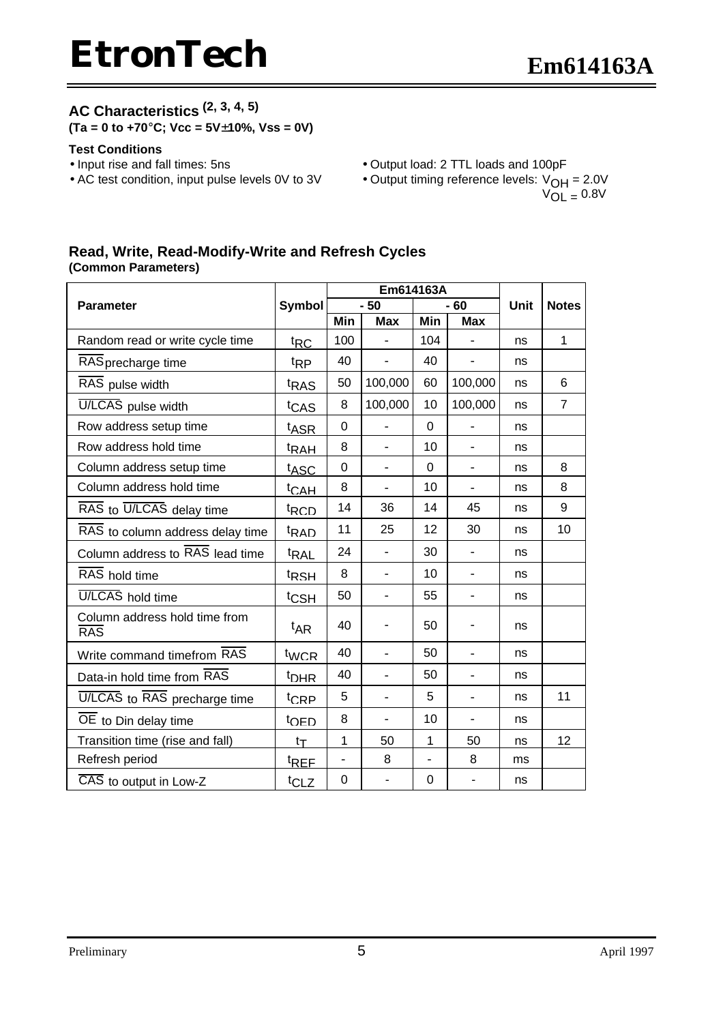### **AC Characteristics (2, 3, 4, 5)**

**(Ta = 0 to +70°C; Vcc = 5V±10%, Vss = 0V)**

#### **Test Conditions**

- 
- Input rise and fall times: 5ns Output load: 2 TTL loads and 100pF<br>• AC test condition, input pulse levels 0V to 3V Output timing reference levels:  $V_{\text{OH}}$
- - Output timing reference levels:  $V_{OH} = 2.0V$  $V_{OL} = 0.8V$

#### **Read, Write, Read-Modify-Write and Refresh Cycles (Common Parameters)**

|                                      |                  |             | Em614163A                |                          |                          |      |                |
|--------------------------------------|------------------|-------------|--------------------------|--------------------------|--------------------------|------|----------------|
| <b>Parameter</b>                     | Symbol           |             | $-50$                    |                          | $-60$                    | Unit | <b>Notes</b>   |
|                                      |                  | Min         | <b>Max</b>               | Min                      | <b>Max</b>               |      |                |
| Random read or write cycle time      | ${}^t$ RC        | 100         |                          | 104                      |                          | ns   | $\mathbf 1$    |
| RAS precharge time                   | <sup>t</sup> RP  | 40          |                          | 40                       |                          | ns   |                |
| RAS pulse width                      | t <sub>RAS</sub> | 50          | 100,000                  | 60                       | 100,000                  | ns   | 6              |
| U/LCAS pulse width                   | t <sub>CAS</sub> | 8           | 100,000                  | 10                       | 100,000                  | ns   | $\overline{7}$ |
| Row address setup time               | t <sub>ASR</sub> | $\mathbf 0$ |                          | 0                        |                          | ns   |                |
| Row address hold time                | <sup>t</sup> RAH | 8           | $\overline{\phantom{0}}$ | 10                       | $\overline{\phantom{0}}$ | ns   |                |
| Column address setup time            | t <sub>ASC</sub> | $\Omega$    | $\overline{\phantom{0}}$ | 0                        | $\overline{\phantom{0}}$ | ns   | 8              |
| Column address hold time             | <sup>t</sup> CAH | 8           | $\overline{\phantom{0}}$ | 10                       | $\overline{\phantom{0}}$ | ns   | 8              |
| RAS to U/LCAS delay time             | <sup>t</sup> RCD | 14          | 36                       | 14                       | 45                       | ns   | 9              |
| RAS to column address delay time     | <sup>t</sup> RAD | 11          | 25                       | 12                       | 30                       | ns   | 10             |
| Column address to RAS lead time      | <sup>t</sup> RAL | 24          |                          | 30                       |                          | ns   |                |
| RAS hold time                        | <sup>t</sup> RSH | 8           |                          | 10                       |                          | ns   |                |
| U/LCAS hold time                     | t <sub>CSH</sub> | 50          | $\overline{\phantom{0}}$ | 55                       | $\overline{a}$           | ns   |                |
| Column address hold time from<br>RAS | <sup>t</sup> AR  | 40          |                          | 50                       |                          | ns   |                |
| Write command timefrom RAS           | $t_{WCR}$        | 40          | $\overline{\phantom{0}}$ | 50                       | $\overline{a}$           | ns   |                |
| Data-in hold time from RAS           | <sup>t</sup> DHR | 40          | $\overline{a}$           | 50                       | $\overline{a}$           | ns   |                |
| U/LCAS to RAS precharge time         | <sup>t</sup> CRP | 5           | $\overline{a}$           | 5                        | $\overline{a}$           | ns   | 11             |
| OE to Din delay time                 | <sup>t</sup> OED | 8           | $\overline{a}$           | 10                       |                          | ns   |                |
| Transition time (rise and fall)      | $t_T$            | 1           | 50                       | 1                        | 50                       | ns   | 12             |
| Refresh period                       | <sup>t</sup> REF |             | 8                        | $\overline{\phantom{0}}$ | 8                        | ms   |                |
| CAS to output in Low-Z               | t <sub>CLZ</sub> | 0           | ٠                        | 0                        |                          | ns   |                |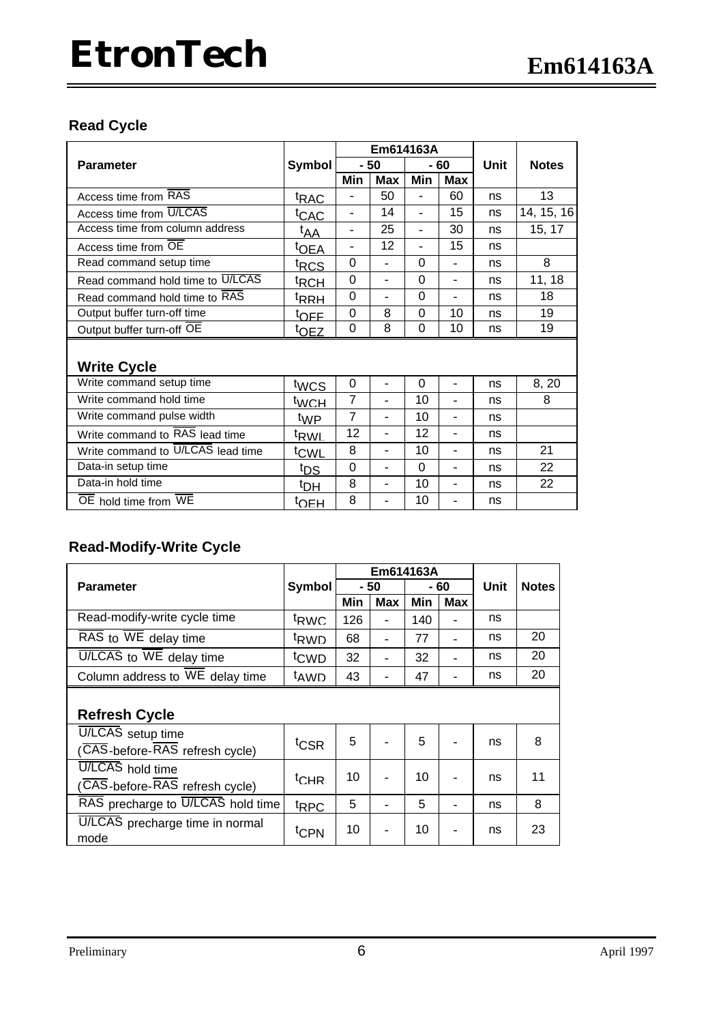### **Read Cycle**

|                                          |                  | Em614163A                |                          |                          |                          |      |              |
|------------------------------------------|------------------|--------------------------|--------------------------|--------------------------|--------------------------|------|--------------|
| <b>Parameter</b>                         | Symbol           |                          | $-50$                    |                          | - 60                     | Unit | <b>Notes</b> |
|                                          |                  | Min                      | Max                      | Min                      | Max                      |      |              |
| Access time from RAS                     | <sup>t</sup> RAC |                          | 50                       |                          | 60                       | ns   | 13           |
| Access time from U/LCAS                  | <sup>t</sup> CAC | $\overline{\phantom{a}}$ | 14                       |                          | 15                       | ns   | 14, 15, 16   |
| Access time from column address          | t <sub>AA</sub>  | $\overline{\phantom{a}}$ | 25                       |                          | 30                       | ns   | 15, 17       |
| Access time from OE                      | <sup>t</sup> OEA | $\overline{\phantom{a}}$ | 12                       | $\overline{\phantom{0}}$ | 15                       | ns   |              |
| Read command setup time                  | <sup>t</sup> RCS | 0                        |                          | $\Omega$                 | $\overline{a}$           | ns   | 8            |
| Read command hold time to U/LCAS         | <sup>t</sup> RCH | $\Omega$                 | $\overline{\phantom{a}}$ | $\Omega$                 | ÷                        | ns   | 11, 18       |
| Read command hold time to RAS            | <sup>t</sup> RRH | $\Omega$                 |                          | $\Omega$                 |                          | ns   | 18           |
| Output buffer turn-off time              | t <sub>OFF</sub> | $\Omega$                 | 8                        | $\Omega$                 | 10                       | ns   | 19           |
| Output buffer turn-off OE                | <sup>t</sup> OEZ | $\mathbf 0$              | 8                        | $\overline{0}$           | 10                       | ns   | 19           |
|                                          |                  |                          |                          |                          |                          |      |              |
| <b>Write Cycle</b>                       |                  |                          |                          |                          |                          |      |              |
| Write command setup time                 | twcs             | 0                        | $\overline{a}$           | 0                        | ÷                        | ns   | 8, 20        |
| Write command hold time                  | twch             | $\overline{7}$           | $\sim$                   | 10                       | ÷                        | ns   | 8            |
| Write command pulse width                | <sup>t</sup> WP  | $\overline{7}$           | $\overline{a}$           | 10                       | $\overline{\phantom{a}}$ | ns   |              |
| Write command to RAS lead time           | t <sub>RWL</sub> | 12                       | $\overline{\phantom{a}}$ | 12                       | ÷                        | ns   |              |
| Write command to U/LCAS lead time        | t <sub>CWL</sub> | 8                        | $\overline{\phantom{a}}$ | 10                       | $\overline{a}$           | ns   | 21           |
| Data-in setup time                       | t <sub>DS</sub>  | $\Omega$                 | $\overline{a}$           | $\Omega$                 | ÷                        | ns   | 22           |
| Data-in hold time                        | <sup>t</sup> DH  | 8                        | $\overline{\phantom{a}}$ | 10                       | ÷                        | ns   | 22           |
| OE hold time from $\overline{\text{WE}}$ | <sup>t</sup> OEH | 8                        |                          | 10                       |                          | ns   |              |

### **Read-Modify-Write Cycle**

|                                                |                  | Em614163A |                          |      |     |      |              |  |
|------------------------------------------------|------------------|-----------|--------------------------|------|-----|------|--------------|--|
| <b>Parameter</b>                               | Symbol           | - 50      |                          | - 60 |     | Unit | <b>Notes</b> |  |
|                                                |                  | Min       | Max                      | Min  | Max |      |              |  |
| Read-modify-write cycle time                   | <sup>t</sup> RWC | 126       |                          | 140  |     | ns   |              |  |
| $\overline{RAS}$ to $\overline{W}E$ delay time | <sup>t</sup> RWD | 68        | Ξ.                       | 77   | ۰   | ns   | 20           |  |
| $U/LCA\bar{S}$ to $\overline{WE}$ delay time   | t <sub>CWD</sub> | 32        | $\overline{\phantom{0}}$ | 32   | ۰   | ns   | 20           |  |
| Column address to WE delay time                | <sup>t</sup> AWD | 43        | $\overline{\phantom{0}}$ | 47   |     | ns   | 20           |  |
|                                                |                  |           |                          |      |     |      |              |  |
| <b>Refresh Cycle</b>                           |                  |           |                          |      |     |      |              |  |
| U/LCAS setup time                              |                  |           |                          |      |     |      |              |  |
| (CAS-before-RAS refresh cycle)                 | t <sub>CSR</sub> | 5         |                          | 5    |     | ns   | 8            |  |
| <b>U/LCAS</b> hold time                        |                  |           |                          |      |     |      |              |  |
| (CAS-before-RAS refresh cycle)                 | $t$ CHR          | 10        |                          | 10   |     | ns   | 11           |  |
| RAS precharge to U/LCAS hold time              | t <sub>RPC</sub> | 5         |                          | 5    |     | ns   | 8            |  |
| U/LCAS precharge time in normal<br>mode        | <sup>t</sup> CPN | 10        |                          | 10   |     | ns   | 23           |  |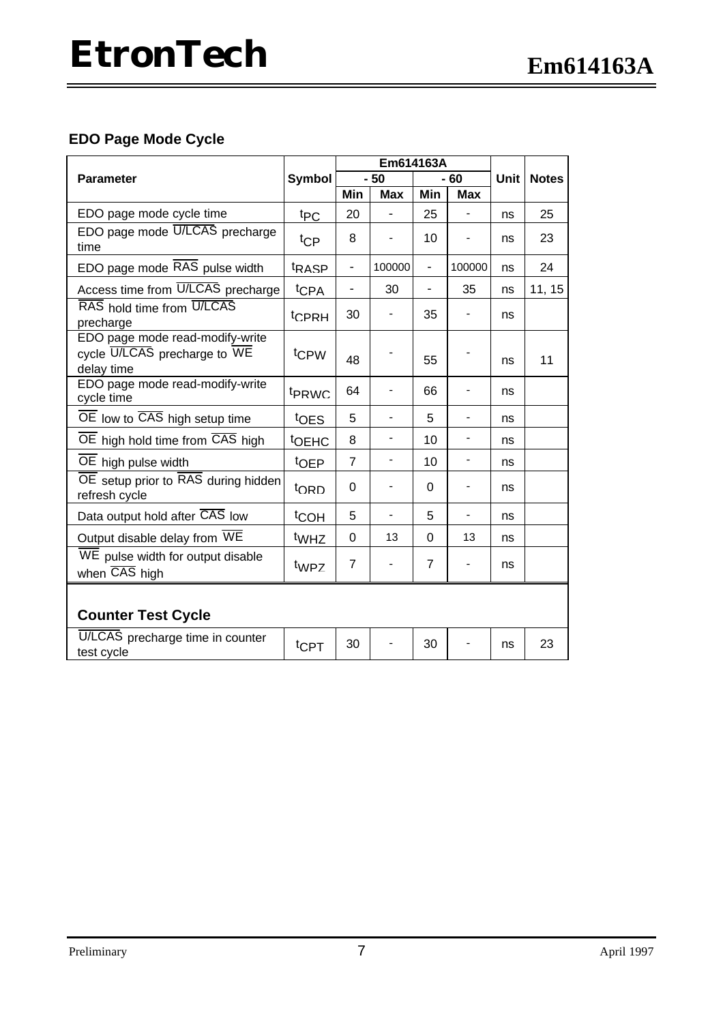### **EDO Page Mode Cycle**

|                                                                               | <b>Symbol</b>     | Em614163A                |                          |                |                          |      |              |
|-------------------------------------------------------------------------------|-------------------|--------------------------|--------------------------|----------------|--------------------------|------|--------------|
| <b>Parameter</b>                                                              |                   | $-50$                    |                          | 60             |                          | Unit | <b>Notes</b> |
|                                                                               |                   | Min                      | <b>Max</b>               | Min            | <b>Max</b>               |      |              |
| EDO page mode cycle time                                                      | t <sub>PC</sub>   | 20                       |                          | 25             |                          | ns   | 25           |
| EDO page mode U/LCAS precharge<br>time                                        | $t_{\text{CP}}$   | 8                        |                          | 10             |                          | ns   | 23           |
| EDO page mode RAS pulse width                                                 | t <sub>RASP</sub> | $\overline{\phantom{0}}$ | 100000                   | $\overline{a}$ | 100000                   | ns   | 24           |
| Access time from U/LCAS precharge                                             | t <sub>CPA</sub>  | ÷,                       | 30                       | $\overline{a}$ | 35                       | ns   | 11, 15       |
| RAS hold time from U/LCAS<br>precharge                                        | <sup>t</sup> CPRH | 30                       |                          | 35             |                          | ns   |              |
| EDO page mode read-modify-write<br>cycle U/LCAS precharge to WE<br>delay time | tc <sub>PW</sub>  | 48                       |                          | 55             |                          | ns   | 11           |
| EDO page mode read-modify-write<br>cycle time                                 | t <sub>PRWC</sub> | 64                       |                          | 66             |                          | ns   |              |
| OE low to CAS high setup time                                                 | toes              | 5                        |                          | 5              |                          | ns   |              |
| OE high hold time from CAS high                                               | <b>tOEHC</b>      | 8                        |                          | 10             |                          | ns   |              |
| OE high pulse width                                                           | toEP              | $\overline{7}$           | $\overline{\phantom{0}}$ | 10             | -                        | ns   |              |
| OE setup prior to RAS during hidden<br>refresh cycle                          | <sup>t</sup> ORD  | 0                        |                          | 0              |                          | ns   |              |
| Data output hold after CAS low                                                | <sup>t</sup> COH  | 5                        |                          | 5              | $\overline{\phantom{a}}$ | ns   |              |
| Output disable delay from WE                                                  | t <sub>WHZ</sub>  | $\Omega$                 | 13                       | 0              | 13                       | ns   |              |
| WE pulse width for output disable<br>when CAS high                            | twpz              | $\overline{7}$           |                          | $\overline{7}$ |                          | ns   |              |
| <b>Counter Test Cycle</b>                                                     |                   |                          |                          |                |                          |      |              |
| U/LCAS precharge time in counter<br>test cycle                                | $t$ CPT           | 30                       |                          | 30             |                          | ns   | 23           |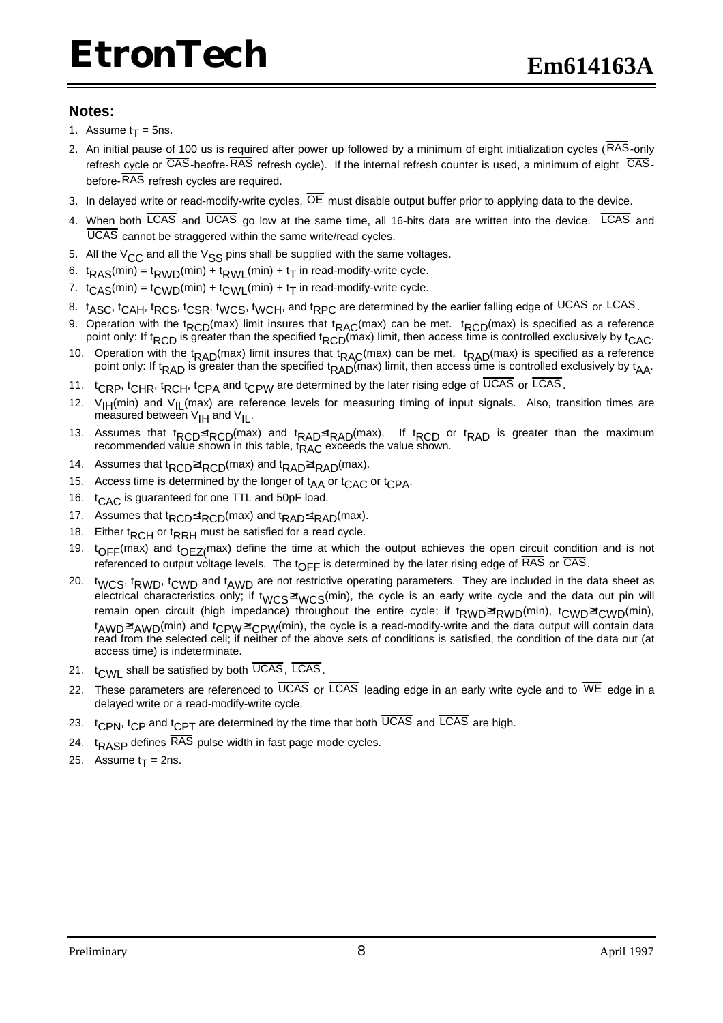#### **Notes:**

- 1. Assume  $t_T = 5$ ns.
- 2. An initial pause of 100 us is required after power up followed by a minimum of eight initialization cycles (RAS-only refresh cycle or CAS-beofre-RAS refresh cycle). If the internal refresh counter is used, a minimum of eight CASbefore-RAS refresh cycles are required.
- 3. In delayed write or read-modify-write cycles,  $\overline{OE}$  must disable output buffer prior to applying data to the device.
- 4. When both LCAS and UCAS go low at the same time, all 16-bits data are written into the device. LCAS and UCAS cannot be straggered within the same write/read cycles.
- 5. All the  $V_{CC}$  and all the  $V_{SS}$  pins shall be supplied with the same voltages.
- 6. t<sub>RAS</sub>(min) = t<sub>RWD</sub>(min) + t<sub>RWL</sub>(min) + t<sub>T</sub> in read-modify-write cycle.
- 7.  $\,$  t<sub>CAS</sub>(min) = t<sub>CWD</sub>(min) + t<sub>CWL</sub>(min) + t<sub>T</sub> in read-modify-write cycle.
- 8. t<sub>ASC</sub>, t<sub>CAH</sub>, t<sub>RCS</sub>, t<sub>CSR</sub>, t<sub>WCS</sub>, t<sub>WCH</sub>, and t<sub>RPC</sub> are determined by the earlier falling edge of UCAS or LCAS.
- 9. Operation with the t<sub>RCD</sub>(max) limit insures that t<sub>RAC</sub>(max) can be met. t<sub>RCD</sub>(max) is specified as a reference point only: If t<sub>RCD</sub> is greater than the specified t<sub>RCD</sub>(max) limit, then access time is controlled exclusively by t<sub>CAC</sub>.
- 10. Operation with the t<sub>RAD</sub>(max) limit insures that t<sub>RAC</sub>(max) can be met. t<sub>RAD</sub>(max) is specified as a reference point only: If t<sub>RAD</sub> is greater than the specified t<sub>RAD</sub>(max) limit, then access time is controlled exclusively by t<sub>AA</sub>.
- 11. t<sub>CRP</sub>, t<sub>CHR</sub>, t<sub>RCH</sub>, t<sub>CPA</sub> and t<sub>CPW</sub> are determined by the later rising edge of UCAS or LCAS.
- 12. V<sub>IH</sub>(min) and V<sub>IL</sub>(max) are reference levels for measuring timing of input signals. Also, transition times are measured between  $V_{\text{IH}}$  and  $V_{\text{IL}}$ .
- 13. Assumes that t<sub>RCD</sub>≤t<sub>RCD</sub>(max) and t<sub>RAD</sub>≤t<sub>RAD</sub>(max). If t<sub>RCD</sub> or t<sub>RAD</sub> is greater than the maximum recommended value shown in this table,  $t_{RAC}$  exceeds the value shown.
- 14. Assumes that t<sub>RCD</sub>≥t<sub>RCD</sub>(max) and t<sub>RAD</sub>≥t<sub>RAD</sub>(max).
- 15. Access time is determined by the longer of  $t_{AA}$  or  $t_{CAC}$  or  $t_{CPA}$ .
- 16. t<sub>CAC</sub> is guaranteed for one TTL and 50pF load.
- 17. Assumes that t<sub>RCD</sub>≤t<sub>RCD</sub>(max) and t<sub>RAD</sub>≤t<sub>RAD</sub>(max).
- 18. Either t<sub>RCH</sub> or t<sub>RRH</sub> must be satisfied for a read cycle.
- 19.  $t_{OFF}$ (max) and  $t_{OEZ}$ (max) define the time at which the output achieves the open circuit condition and is not referenced to output voltage levels. The  $t_{\text{OFF}}$  is determined by the later rising edge of  $\overline{\text{RAS}}$  or  $\overline{\text{CAS}}$ .
- 20. twcs, tRWD, tcwD and tAWD are not restrictive operating parameters. They are included in the data sheet as electrical characteristics only; if t<sub>WCS</sub>≥t<sub>WCS</sub>(min), the cycle is an early write cycle and the data out pin will remain open circuit (high impedance) throughout the entire cycle; if t<sub>RWD</sub>≥t<sub>RWD</sub>(min), t<sub>CWD</sub>≥t<sub>CWD</sub>(min),  $t_{\text{AWD}} \geq t_{\text{AWD}}$ (min) and  $t_{\text{CPW}} \geq t_{\text{CPW}}$ (min), the cycle is a read-modify-write and the data output will contain data read from the selected cell; if neither of the above sets of conditions is satisfied, the condition of the data out (at access time) is indeterminate.
- 21.  $t_{CMI}$  shall be satisfied by both  $\overline{UCAS}$ ,  $\overline{LCAS}$ .
- 22. These parameters are referenced to  $\overline{UCAS}$  or  $\overline{LCAS}$  leading edge in an early write cycle and to  $\overline{WE}$  edge in a delayed write or a read-modify-write cycle.
- 23.  $t_{CPN}$ ,  $t_{CP}$  and  $t_{CPT}$  are determined by the time that both  $\overline{UCAS}$  and  $\overline{LCAS}$  are high.
- 24.  $t_{RASP}$  defines  $\overline{RAS}$  pulse width in fast page mode cycles.
- 25. Assume t<sub>T</sub> = 2ns.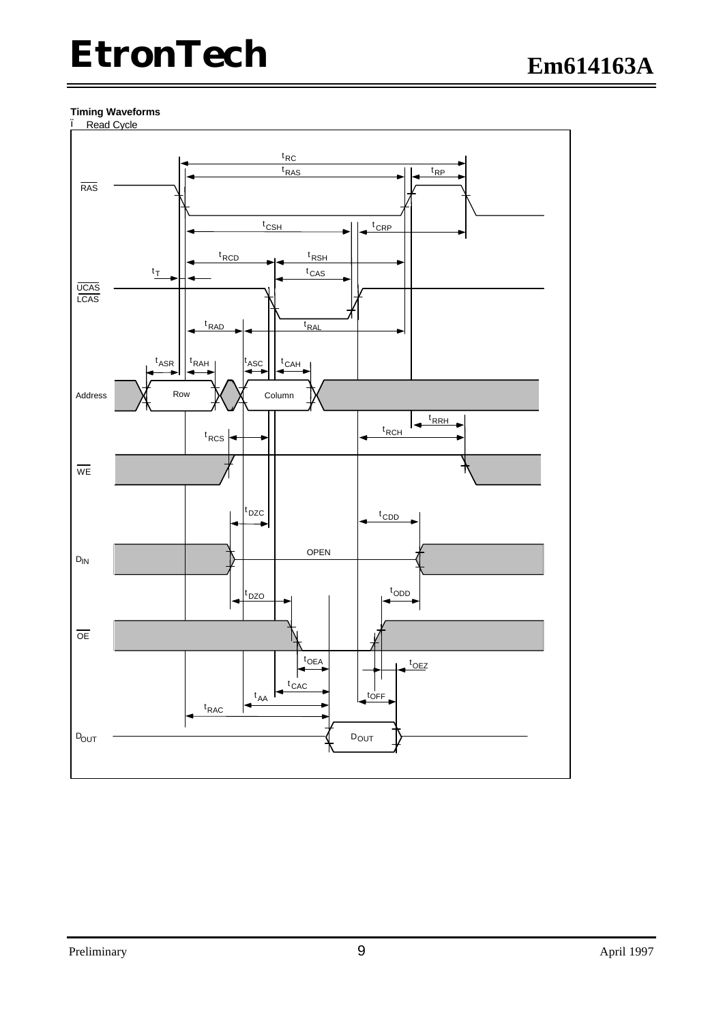#### **Timing Waveforms**

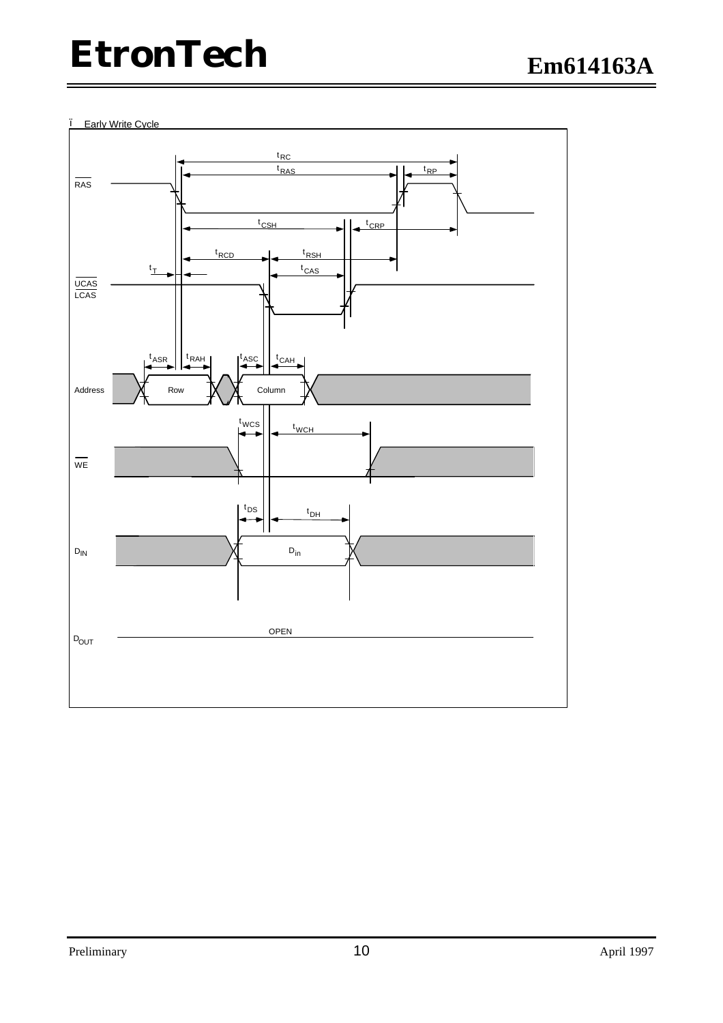• Early Write Cycle

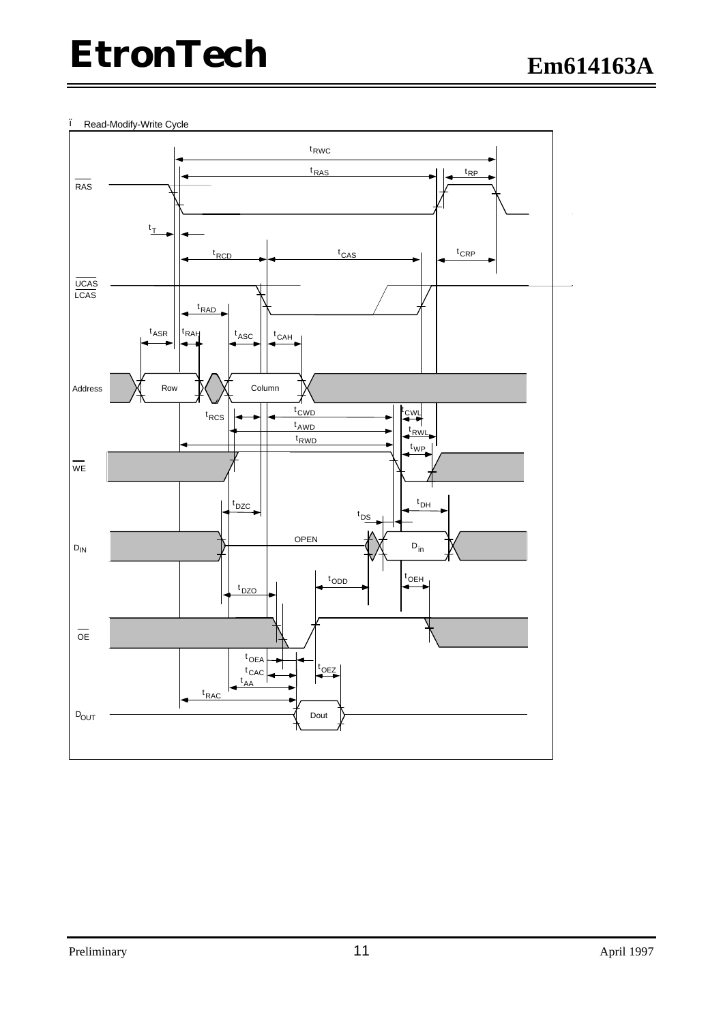#### • Read-Modify-Write Cycle

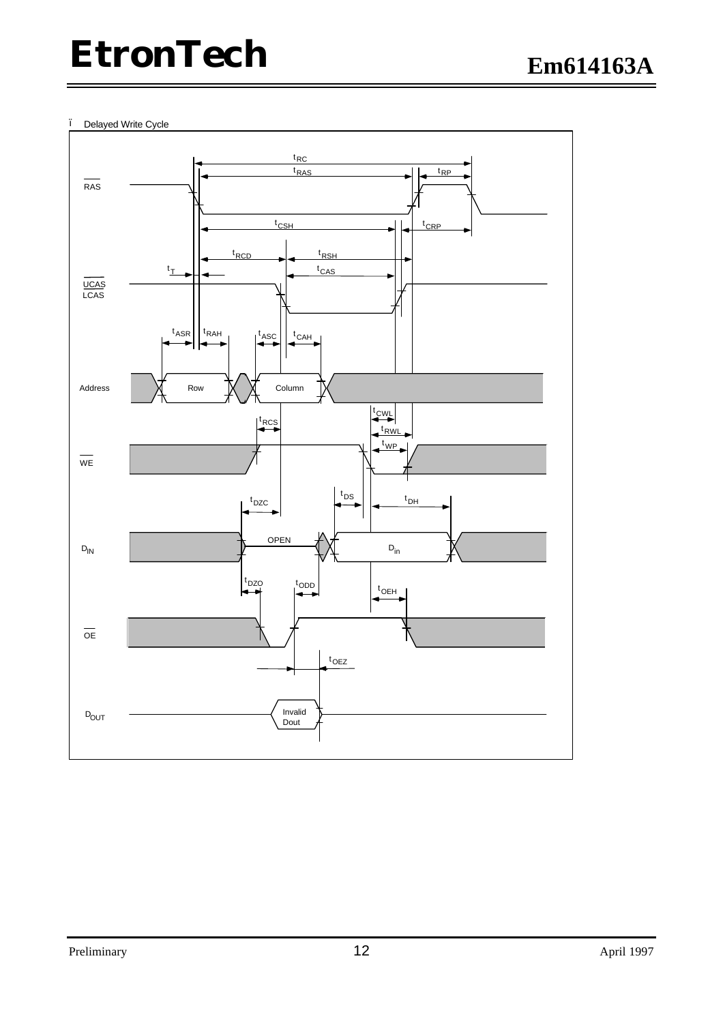#### • Delayed Write Cycle

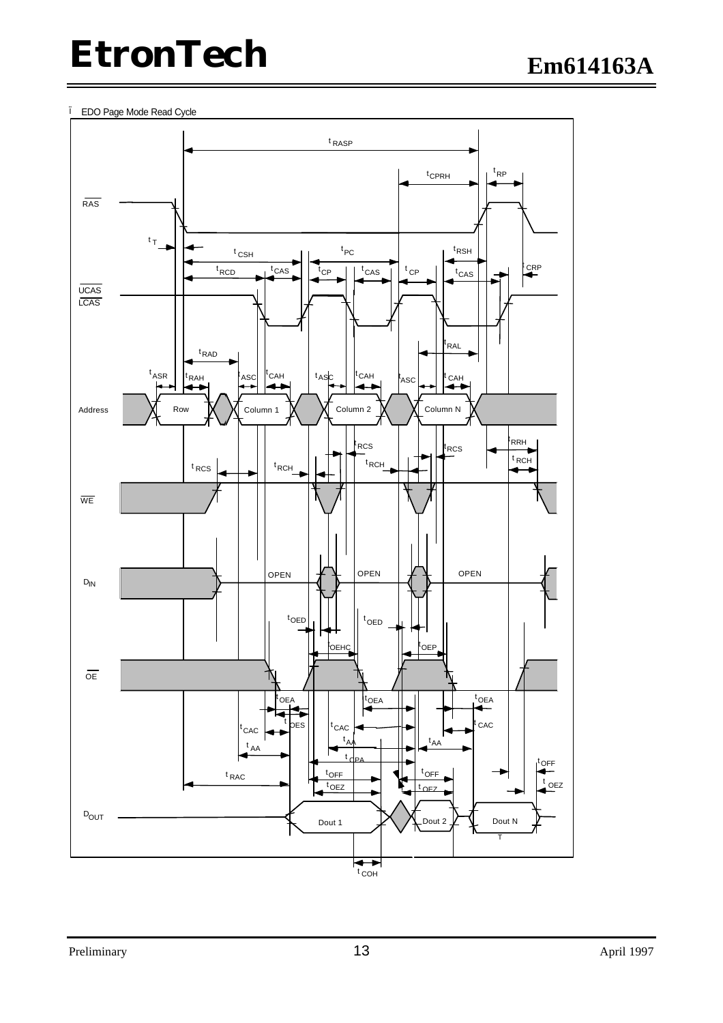• EDO Page Mode Read Cycle

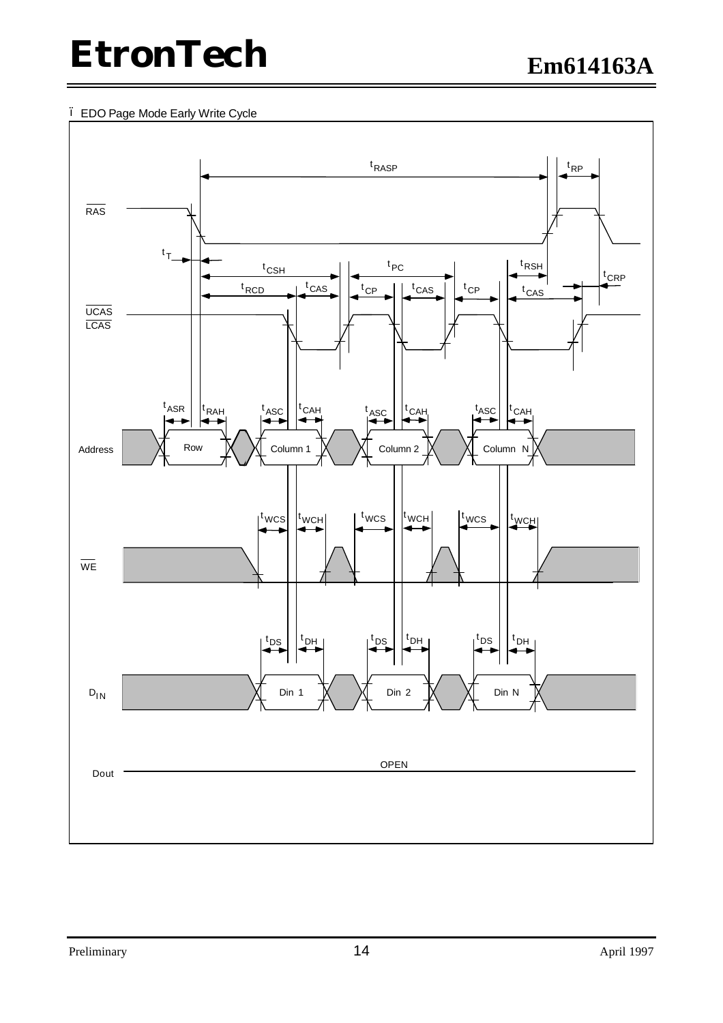• EDO Page Mode Early Write Cycle

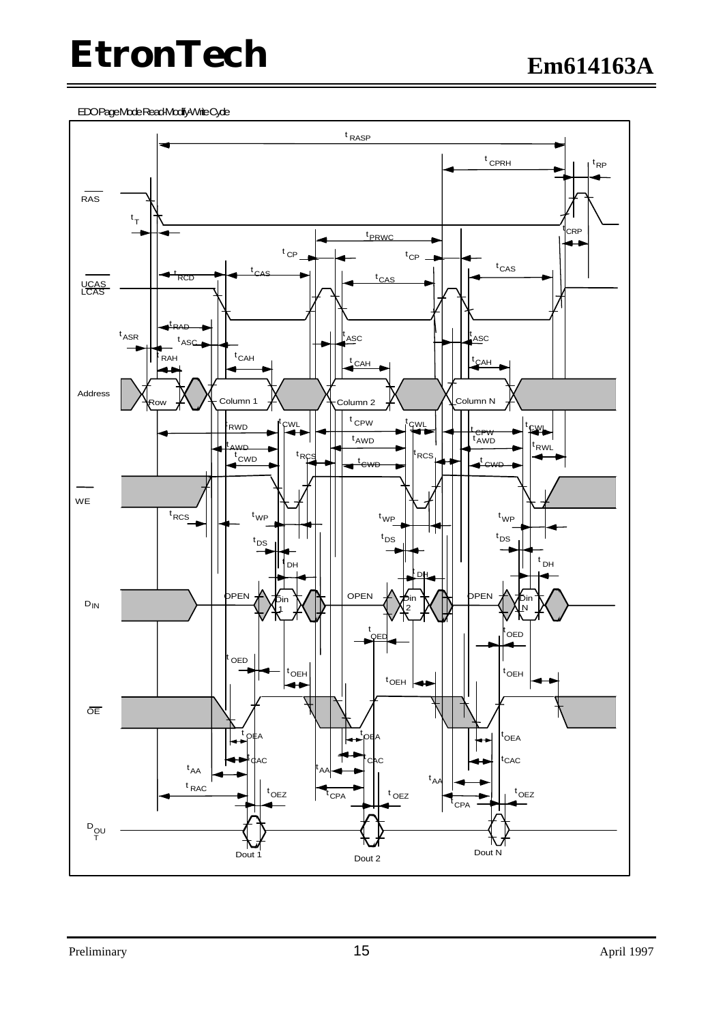EDOPageModeRead+Modify-WriteCyde

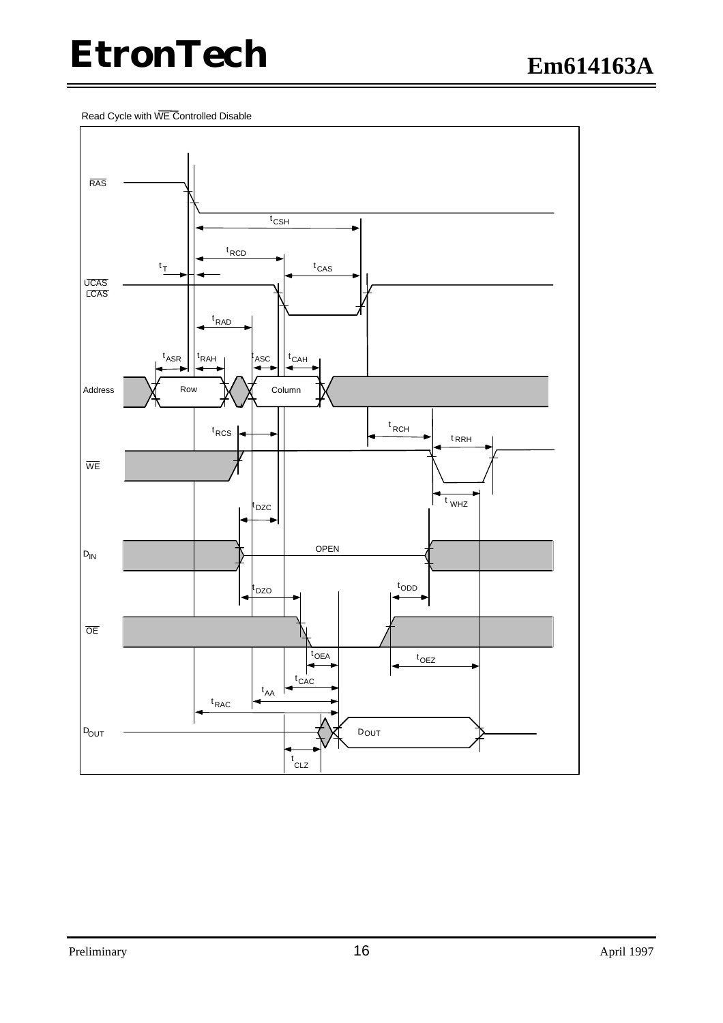Read Cycle with WE Controlled Disable

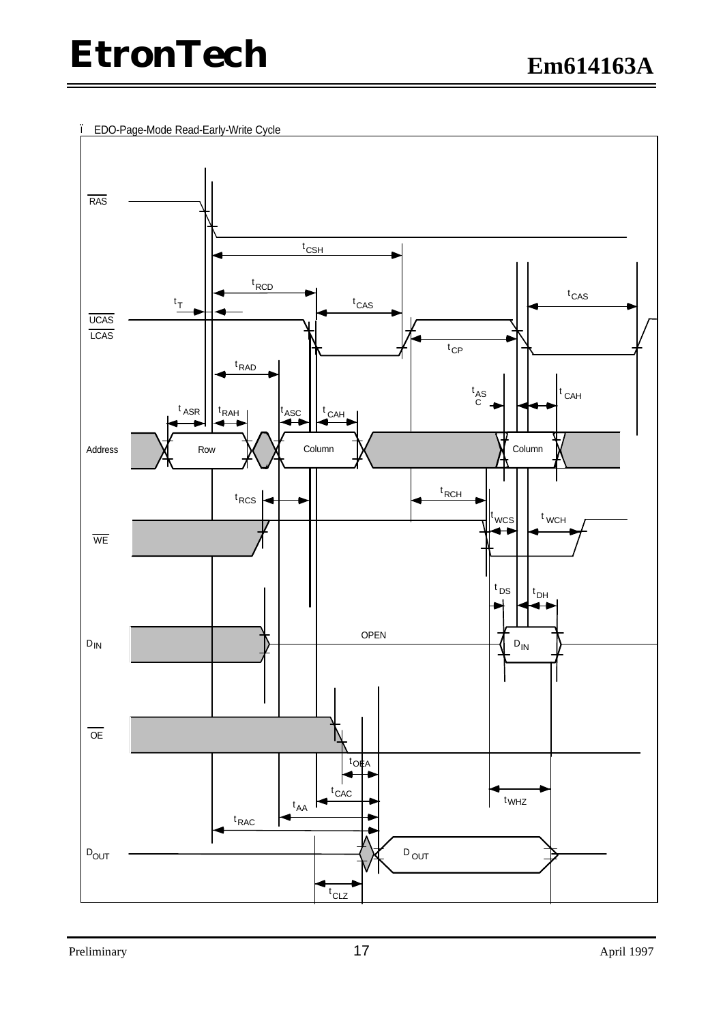• EDO-Page-Mode Read-Early-Write Cycle

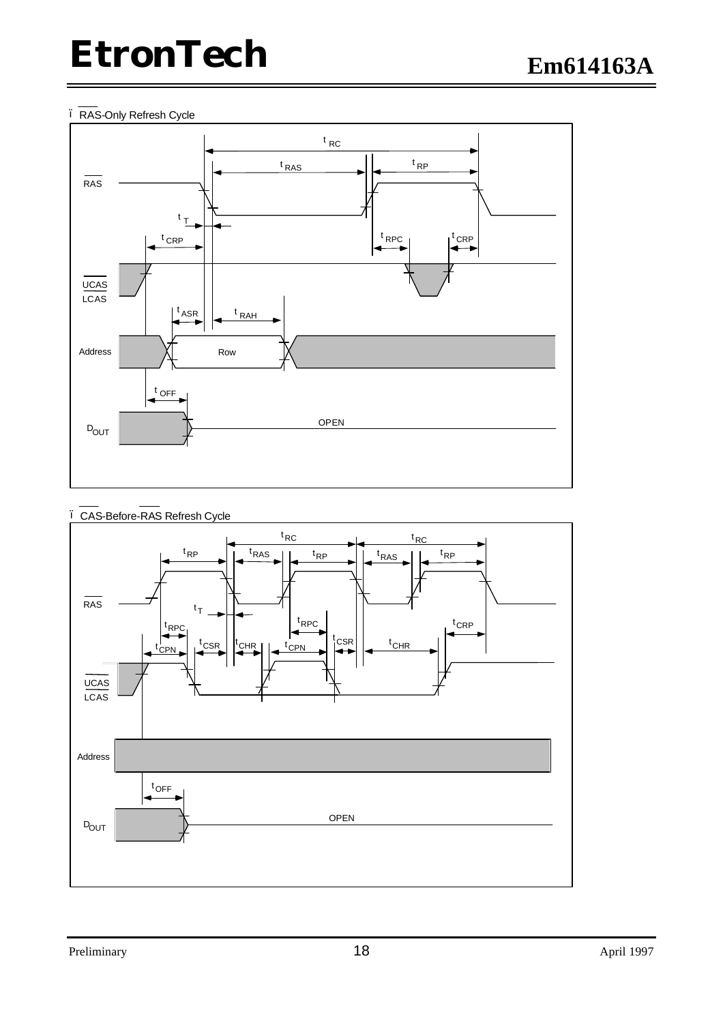#### • RAS-Only Refresh Cycle





• CAS-Before-RAS Refresh Cycle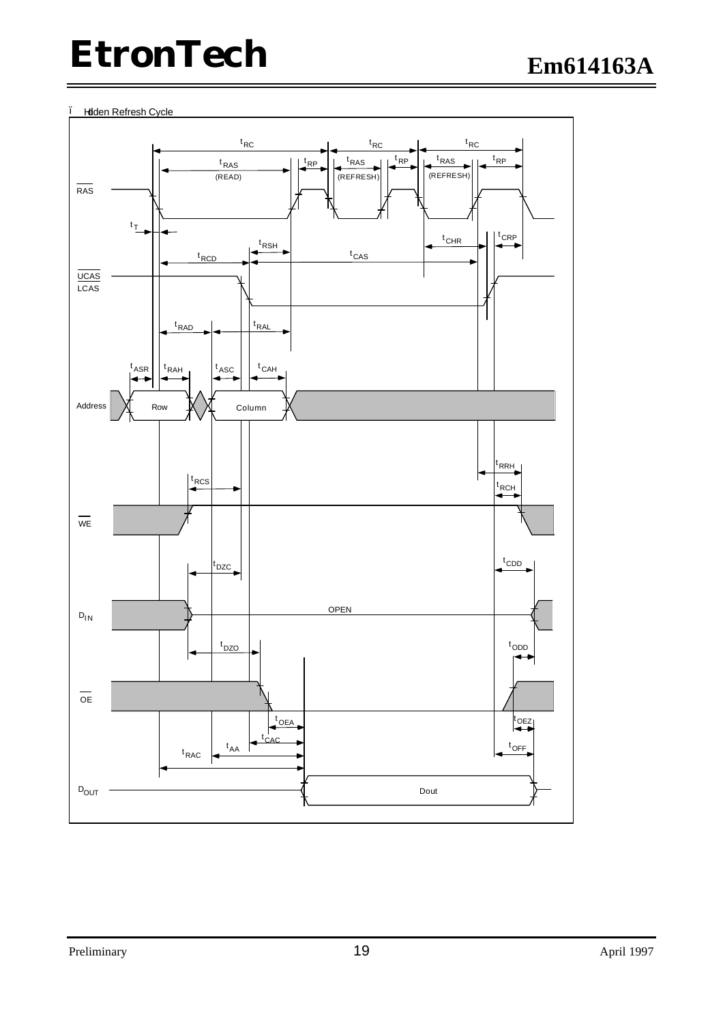#### • Hdden Refresh Cycle

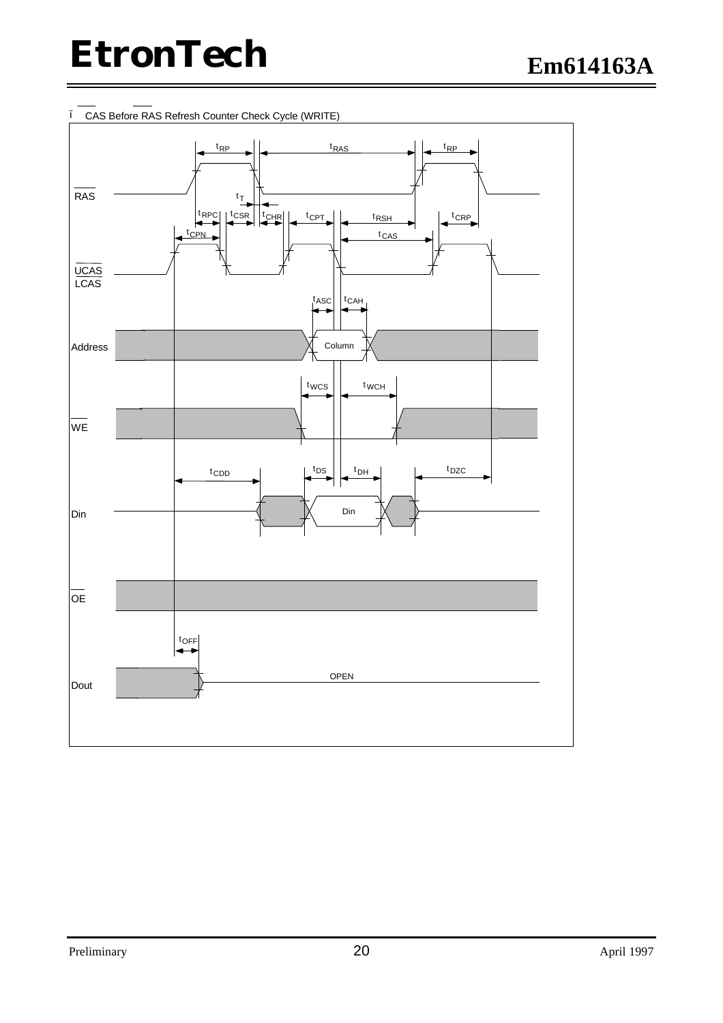

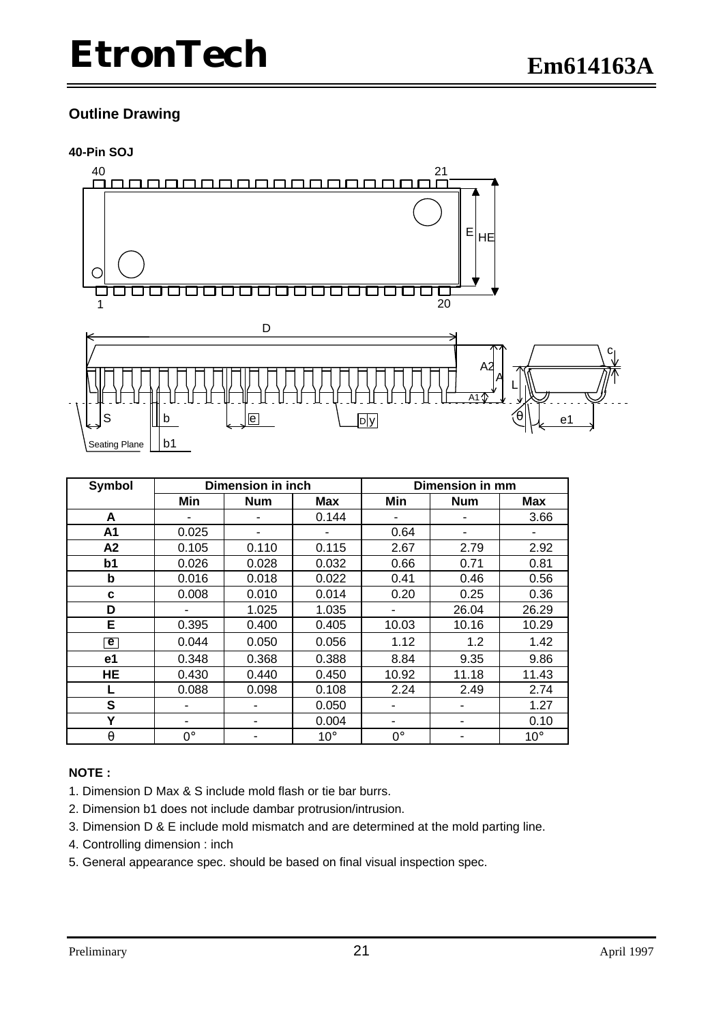#### **Outline Drawing**

#### **40-Pin SOJ**



| Symbol                      | <b>Dimension in inch</b> |            |              | <b>Dimension in mm</b> |            |              |  |
|-----------------------------|--------------------------|------------|--------------|------------------------|------------|--------------|--|
|                             | Min                      | <b>Num</b> | Max          | Min                    | <b>Num</b> | <b>Max</b>   |  |
| A                           |                          |            | 0.144        |                        |            | 3.66         |  |
| A1                          | 0.025                    |            |              | 0.64                   | ۰          |              |  |
| A2                          | 0.105                    | 0.110      | 0.115        | 2.67                   | 2.79       | 2.92         |  |
| b1                          | 0.026                    | 0.028      | 0.032        | 0.66                   | 0.71       | 0.81         |  |
| b                           | 0.016                    | 0.018      | 0.022        | 0.41                   | 0.46       | 0.56         |  |
| C                           | 0.008                    | 0.010      | 0.014        | 0.20                   | 0.25       | 0.36         |  |
| D                           |                          | 1.025      | 1.035        |                        | 26.04      | 26.29        |  |
| E                           | 0.395                    | 0.400      | 0.405        | 10.03                  | 10.16      | 10.29        |  |
| $\left  \mathbf{e} \right $ | 0.044                    | 0.050      | 0.056        | 1.12                   | 1.2        | 1.42         |  |
| e1                          | 0.348                    | 0.368      | 0.388        | 8.84                   | 9.35       | 9.86         |  |
| <b>HE</b>                   | 0.430                    | 0.440      | 0.450        | 10.92                  | 11.18      | 11.43        |  |
| L                           | 0.088                    | 0.098      | 0.108        | 2.24                   | 2.49       | 2.74         |  |
| S                           |                          | ۰          | 0.050        |                        |            | 1.27         |  |
| Y                           |                          |            | 0.004        | ٠                      |            | 0.10         |  |
| q                           | $0^{\circ}$              |            | $10^{\circ}$ | $0^{\circ}$            |            | $10^{\circ}$ |  |

#### **NOTE :**

- 1. Dimension D Max & S include mold flash or tie bar burrs.
- 2. Dimension b1 does not include dambar protrusion/intrusion.
- 3. Dimension D & E include mold mismatch and are determined at the mold parting line.
- 4. Controlling dimension : inch
- 5. General appearance spec. should be based on final visual inspection spec.